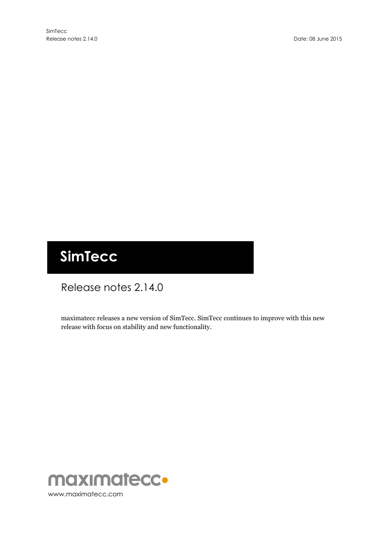# **SimTecc**

# Release notes 2.14.0

maximatecc releases a new version of SimTecc. SimTecc continues to improve with this new release with focus on stability and new functionality.

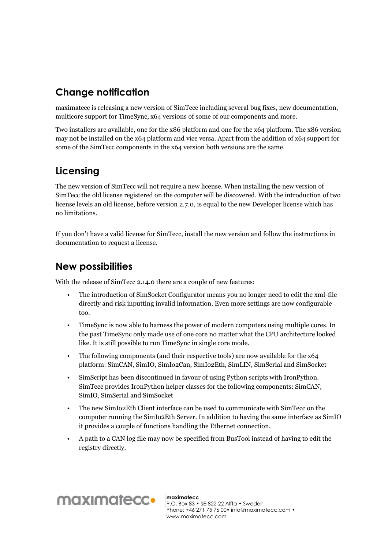#### **Change notification**

maximatecc is releasing a new version of SimTecc including several bug fixes, new documentation, multicore support for TimeSync, x64 versions of some of our components and more.

Two installers are available, one for the x86 platform and one for the x64 platform. The x86 version may not be installed on the x64 platform and vice versa. Apart from the addition of x64 support for some of the SimTecc components in the x64 version both versions are the same.

### **Licensing**

The new version of SimTecc will not require a new license. When installing the new version of SimTecc the old license registered on the computer will be discovered. With the introduction of two license levels an old license, before version 2.7.0, is equal to the new Developer license which has no limitations.

If you don't have a valid license for SimTecc, install the new version and follow the instructions in documentation to request a license.

#### **New possibilities**

With the release of SimTecc 2.14.0 there are a couple of new features:

- The introduction of SimSocket Configurator means you no longer need to edit the xml-file directly and risk inputting invalid information. Even more settings are now configurable too.
- TimeSync is now able to harness the power of modern computers using multiple cores. In the past TimeSync only made use of one core no matter what the CPU architecture looked like. It is still possible to run TimeSync in single core mode.
- The following components (and their respective tools) are now available for the  $x64$ platform: SimCAN, SimIO, SimIo2Can, SimIo2Eth, SimLIN, SimSerial and SimSocket
- SimScript has been discontinued in favour of using Python scripts with IronPython. SimTecc provides IronPython helper classes for the following components: SimCAN, SimIO, SimSerial and SimSocket
- The new SimIo2Eth Client interface can be used to communicate with SimTecc on the computer running the SimIo2Eth Server. In addition to having the same interface as SimIO it provides a couple of functions handling the Ethernet connection.
- A path to a CAN log file may now be specified from BusTool instead of having to edit the registry directly.



**maximatecc** P.O. Box 83 • SE-822 22 Alfta • Sweden Phone: +46 271 75 76 00• info@maximatecc.com • www.maximatecc.com